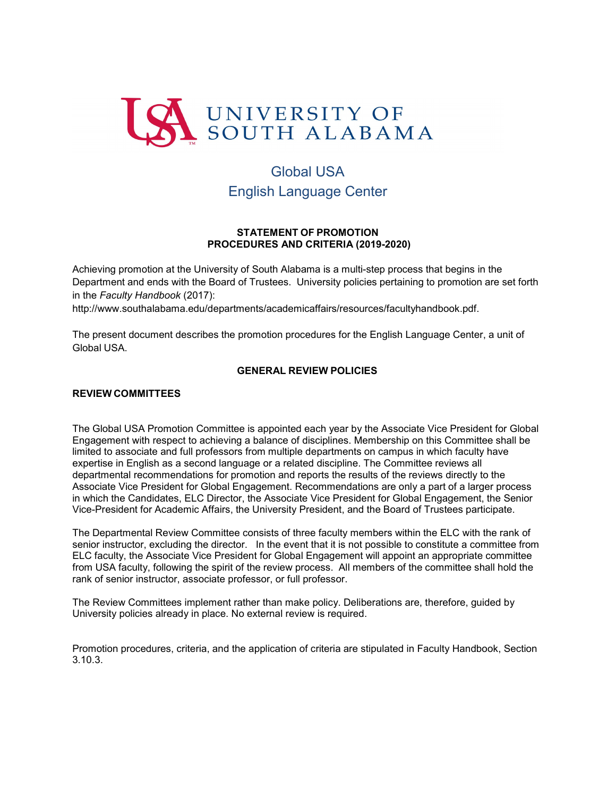

# Global USA English Language Center

## **STATEMENT OF PROMOTION PROCEDURES AND CRITERIA (2019-2020)**

Achieving promotion at the University of South Alabama is a multi-step process that begins in the Department and ends with the Board of Trustees. University policies pertaining to promotion are set forth in the *Faculty Handbook* (2017)[:](http://www.southalabama.edu/departments/academicaffairs/resources/facultyhandbook.pdf)

[http://www.southalabama.edu/departments/academicaffairs/resources/facultyhandbook.pdf.](http://www.southalabama.edu/departments/academicaffairs/resources/facultyhandbook.pdf)

The present document describes the promotion procedures for the English Language Center, a unit of Global USA.

# **GENERAL REVIEW POLICIES**

#### **REVIEW COMMITTEES**

The Global USA Promotion Committee is appointed each year by the Associate Vice President for Global Engagement with respect to achieving a balance of disciplines. Membership on this Committee shall be limited to associate and full professors from multiple departments on campus in which faculty have expertise in English as a second language or a related discipline. The Committee reviews all departmental recommendations for promotion and reports the results of the reviews directly to the Associate Vice President for Global Engagement. Recommendations are only a part of a larger process in which the Candidates, ELC Director, the Associate Vice President for Global Engagement, the Senior Vice-President for Academic Affairs, the University President, and the Board of Trustees participate.

The Departmental Review Committee consists of three faculty members within the ELC with the rank of senior instructor, excluding the director. In the event that it is not possible to constitute a committee from ELC faculty, the Associate Vice President for Global Engagement will appoint an appropriate committee from USA faculty, following the spirit of the review process. All members of the committee shall hold the rank of senior instructor, associate professor, or full professor.

The Review Committees implement rather than make policy. Deliberations are, therefore, guided by University policies already in place. No external review is required.

Promotion procedures, criteria, and the application of criteria are stipulated in Faculty Handbook, Section 3.10.3.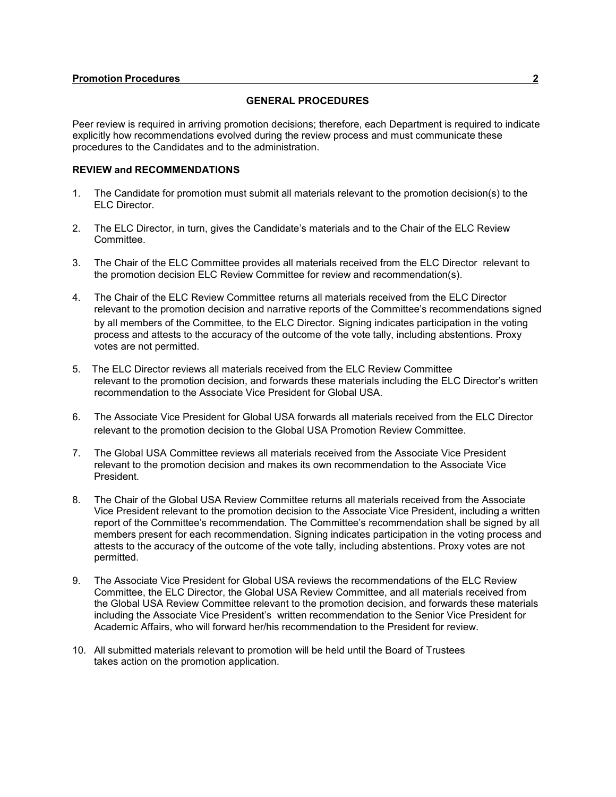## **GENERAL PROCEDURES**

Peer review is required in arriving promotion decisions; therefore, each Department is required to indicate explicitly how recommendations evolved during the review process and must communicate these procedures to the Candidates and to the administration.

#### **REVIEW and RECOMMENDATIONS**

- 1. The Candidate for promotion must submit all materials relevant to the promotion decision(s) to the ELC Director.
- 2. The ELC Director, in turn, gives the Candidate's materials and to the Chair of the ELC Review Committee.
- 3. The Chair of the ELC Committee provides all materials received from the ELC Director relevant to the promotion decision ELC Review Committee for review and recommendation(s).
- 4. The Chair of the ELC Review Committee returns all materials received from the ELC Director relevant to the promotion decision and narrative reports of the Committee's recommendations signed by all members of the Committee, to the ELC Director. Signing indicates participation in the voting process and attests to the accuracy of the outcome of the vote tally, including abstentions. Proxy votes are not permitted.
- 5. The ELC Director reviews all materials received from the ELC Review Committee relevant to the promotion decision, and forwards these materials including the ELC Director's written recommendation to the Associate Vice President for Global USA.
- 6. The Associate Vice President for Global USA forwards all materials received from the ELC Director relevant to the promotion decision to the Global USA Promotion Review Committee.
- 7. The Global USA Committee reviews all materials received from the Associate Vice President relevant to the promotion decision and makes its own recommendation to the Associate Vice President.
- 8. The Chair of the Global USA Review Committee returns all materials received from the Associate Vice President relevant to the promotion decision to the Associate Vice President, including a written report of the Committee's recommendation. The Committee's recommendation shall be signed by all members present for each recommendation. Signing indicates participation in the voting process and attests to the accuracy of the outcome of the vote tally, including abstentions. Proxy votes are not permitted.
- 9. The Associate Vice President for Global USA reviews the recommendations of the ELC Review Committee, the ELC Director, the Global USA Review Committee, and all materials received from the Global USA Review Committee relevant to the promotion decision, and forwards these materials including the Associate Vice President's written recommendation to the Senior Vice President for Academic Affairs, who will forward her/his recommendation to the President for review.
- 10. All submitted materials relevant to promotion will be held until the Board of Trustees takes action on the promotion application.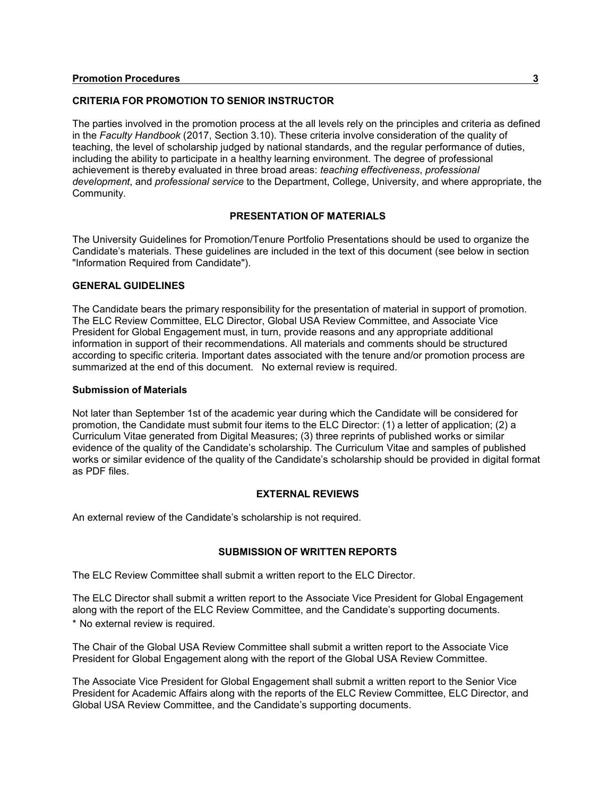## **CRITERIA FOR PROMOTION TO SENIOR INSTRUCTOR**

The parties involved in the promotion process at the all levels rely on the principles and criteria as defined in the *Faculty Handbook* (2017, Section 3.10). These criteria involve consideration of the quality of teaching, the level of scholarship judged by national standards, and the regular performance of duties, including the ability to participate in a healthy learning environment. The degree of professional achievement is thereby evaluated in three broad areas: *teaching effectiveness*, *professional development*, and *professional service* to the Department, College, University, and where appropriate, the Community.

## **PRESENTATION OF MATERIALS**

The University Guidelines for Promotion/Tenure Portfolio Presentations should be used to organize the Candidate's materials. These guidelines are included in the text of this document (see below in section "Information Required from Candidate").

#### **GENERAL GUIDELINES**

The Candidate bears the primary responsibility for the presentation of material in support of promotion. The ELC Review Committee, ELC Director, Global USA Review Committee, and Associate Vice President for Global Engagement must, in turn, provide reasons and any appropriate additional information in support of their recommendations. All materials and comments should be structured according to specific criteria. Important dates associated with the tenure and/or promotion process are summarized at the end of this document. No external review is required.

#### **Submission of Materials**

Not later than September 1st of the academic year during which the Candidate will be considered for promotion, the Candidate must submit four items to the ELC Director: (1) a letter of application; (2) a Curriculum Vitae generated from Digital Measures; (3) three reprints of published works or similar evidence of the quality of the Candidate's scholarship. The Curriculum Vitae and samples of published works or similar evidence of the quality of the Candidate's scholarship should be provided in digital format as PDF files.

## **EXTERNAL REVIEWS**

An external review of the Candidate's scholarship is not required.

#### **SUBMISSION OF WRITTEN REPORTS**

The ELC Review Committee shall submit a written report to the ELC Director.

The ELC Director shall submit a written report to the Associate Vice President for Global Engagement along with the report of the ELC Review Committee, and the Candidate's supporting documents. \* No external review is required.

The Chair of the Global USA Review Committee shall submit a written report to the Associate Vice President for Global Engagement along with the report of the Global USA Review Committee.

The Associate Vice President for Global Engagement shall submit a written report to the Senior Vice President for Academic Affairs along with the reports of the ELC Review Committee, ELC Director, and Global USA Review Committee, and the Candidate's supporting documents.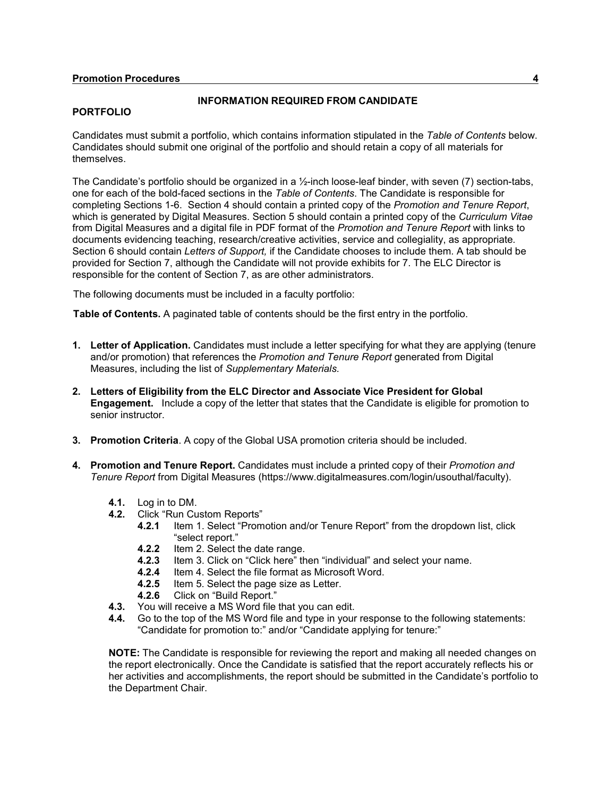#### **PORTFOLIO**

## **INFORMATION REQUIRED FROM CANDIDATE**

Candidates must submit a portfolio, which contains information stipulated in the *Table of Contents* below. Candidates should submit one original of the portfolio and should retain a copy of all materials for themselves.

The Candidate's portfolio should be organized in a 1/2-inch loose-leaf binder, with seven (7) section-tabs, one for each of the bold-faced sections in the *Table of Contents*. The Candidate is responsible for completing Sections 1-6. Section 4 should contain a printed copy of the *Promotion and Tenure Report*, which is generated by Digital Measures. Section 5 should contain a printed copy of the *Curriculum Vitae*  from Digital Measures and a digital file in PDF format of the *Promotion and Tenure Report* with links to documents evidencing teaching, research/creative activities, service and collegiality, as appropriate*.* Section 6 should contain *Letters of Support,* if the Candidate chooses to include them*.* A tab should be provided for Section 7, although the Candidate will not provide exhibits for 7. The ELC Director is responsible for the content of Section 7, as are other administrators.

The following documents must be included in a faculty portfolio:

**Table of Contents.** A paginated table of contents should be the first entry in the portfolio.

- **1. Letter of Application.** Candidates must include a letter specifying for what they are applying (tenure and/or promotion) that references the *Promotion and Tenure Report* generated from Digital Measures, including the list of *Supplementary Materials.*
- **2. Letters of Eligibility from the ELC Director and Associate Vice President for Global Engagement.** Include a copy of the letter that states that the Candidate is eligible for promotion to senior instructor.
- **3. Promotion Criteria**. A copy of the Global USA promotion criteria should be included.
- **4. Promotion and Tenure Report.** Candidates must include a printed copy of their *Promotion and Tenure Report* from Digital Measures [\(https://www.digitalmeasures.com/login/usouthal/faculty\).](http://www.digitalmeasures.com/login/usouthal/faculty))
	- **4.1.** Log in to DM.<br>**4.2.** Click "Run Cu
	- **4.2.1 Click "Run Custom Reports"**<br>**4.2.1** Item 1. Select "Prom
		- **4.2.1** Item 1. Select "Promotion and/or Tenure Report" from the dropdown list, click "select report."
		- **4.2.2** Item 2. Select the date range.
		- **4.2.3** Item 3. Click on "Click here" then "individual" and select your name.
		- **4.2.4** Item 4. Select the file format as Microsoft Word.<br>**4.2.5** Item 5. Select the page size as Letter.
		- **4.2.5** Item 5. Select the page size as Letter.
		- **4.2.6** Click on "Build Report."
	- **4.3.** You will receive a MS Word file that you can edit.
	- **4.4.** Go to the top of the MS Word file and type in your response to the following statements: "Candidate for promotion to:" and/or "Candidate applying for tenure:"

**NOTE:** The Candidate is responsible for reviewing the report and making all needed changes on the report electronically. Once the Candidate is satisfied that the report accurately reflects his or her activities and accomplishments, the report should be submitted in the Candidate's portfolio to the Department Chair.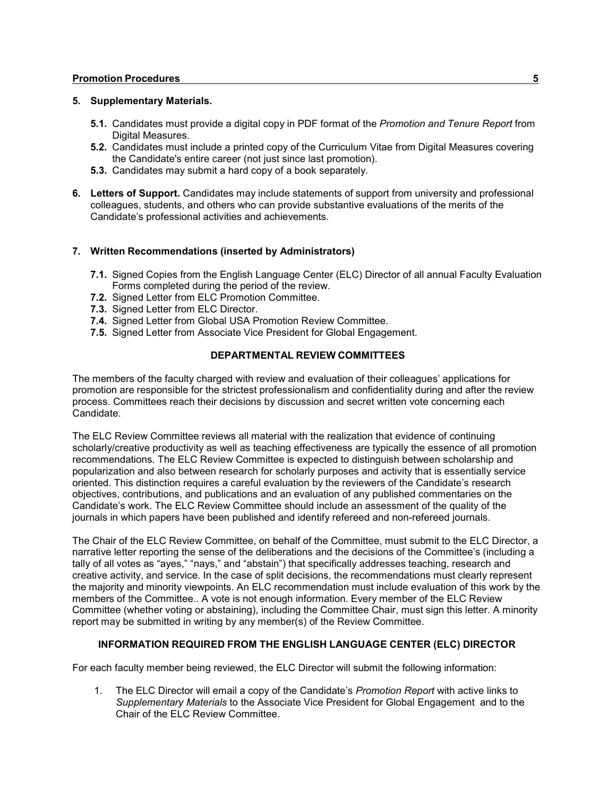### **Promotion Procedures 5**

## **5. Supplementary Materials.**

- **5.1.** Candidates must provide a digital copy in PDF format of the *Promotion and Tenure Report* from Digital Measures.
- **5.2.** Candidates must include a printed copy of the Curriculum Vitae from Digital Measures covering the Candidate's entire career (not just since last promotion).
- **5.3.** Candidates may submit a hard copy of a book separately.
- **6. Letters of Support.** Candidates may include statements of support from university and professional colleagues, students, and others who can provide substantive evaluations of the merits of the Candidate's professional activities and achievements.

## **7. Written Recommendations (inserted by Administrators)**

- **7.1.** Signed Copies from the English Language Center (ELC) Director of all annual Faculty Evaluation Forms completed during the period of the review.
- **7.2.** Signed Letter from ELC Promotion Committee.
- **7.3.** Signed Letter from ELC Director.
- **7.4.** Signed Letter from Global USA Promotion Review Committee.
- **7.5.** Signed Letter from Associate Vice President for Global Engagement.

## **DEPARTMENTAL REVIEW COMMITTEES**

The members of the faculty charged with review and evaluation of their colleagues' applications for promotion are responsible for the strictest professionalism and confidentiality during and after the review process. Committees reach their decisions by discussion and secret written vote concerning each Candidate.

The ELC Review Committee reviews all material with the realization that evidence of continuing scholarly/creative productivity as well as teaching effectiveness are typically the essence of all promotion recommendations. The ELC Review Committee is expected to distinguish between scholarship and popularization and also between research for scholarly purposes and activity that is essentially service oriented. This distinction requires a careful evaluation by the reviewers of the Candidate's research objectives, contributions, and publications and an evaluation of any published commentaries on the Candidate's work. The ELC Review Committee should include an assessment of the quality of the journals in which papers have been published and identify refereed and non-refereed journals.

The Chair of the ELC Review Committee, on behalf of the Committee, must submit to the ELC Director, a narrative letter reporting the sense of the deliberations and the decisions of the Committee's (including a tally of all votes as "ayes," "nays," and "abstain") that specifically addresses teaching, research and creative activity, and service. In the case of split decisions, the recommendations must clearly represent the majority and minority viewpoints. An ELC recommendation must include evaluation of this work by the members of the Committee.. A vote is not enough information. Every member of the ELC Review Committee (whether voting or abstaining), including the Committee Chair, must sign this letter. A minority report may be submitted in writing by any member(s) of the Review Committee.

## **INFORMATION REQUIRED FROM THE ENGLISH LANGUAGE CENTER (ELC) DIRECTOR**

For each faculty member being reviewed, the ELC Director will submit the following information:

1. The ELC Director will email a copy of the Candidate's *Promotion Report* with active links to *Supplementary Materials* to the Associate Vice President for Global Engagement and to the Chair of the ELC Review Committee.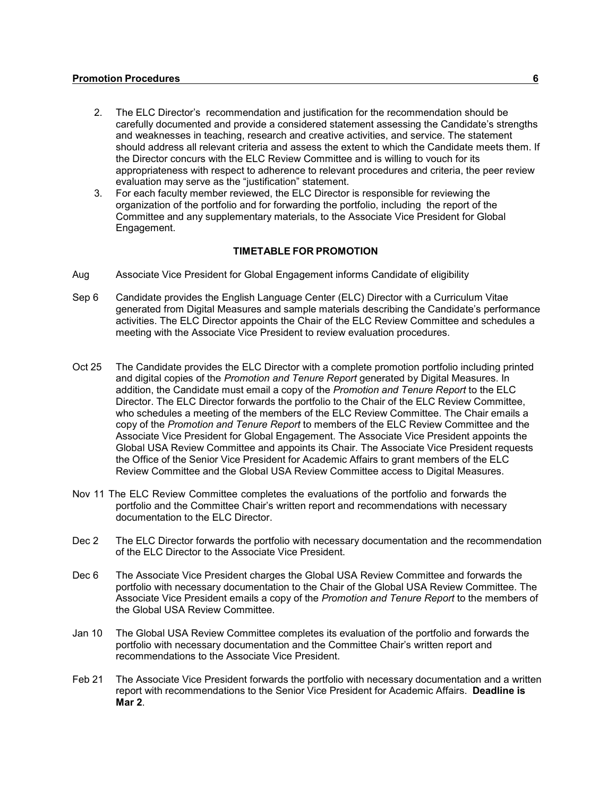- 2. The ELC Director's recommendation and justification for the recommendation should be carefully documented and provide a considered statement assessing the Candidate's strengths and weaknesses in teaching, research and creative activities, and service. The statement should address all relevant criteria and assess the extent to which the Candidate meets them. If the Director concurs with the ELC Review Committee and is willing to vouch for its appropriateness with respect to adherence to relevant procedures and criteria, the peer review evaluation may serve as the "justification" statement.
- 3. For each faculty member reviewed, the ELC Director is responsible for reviewing the organization of the portfolio and for forwarding the portfolio, including the report of the Committee and any supplementary materials, to the Associate Vice President for Global Engagement.

## **TIMETABLE FOR PROMOTION**

- Aug Associate Vice President for Global Engagement informs Candidate of eligibility
- Sep 6 Candidate provides the English Language Center (ELC) Director with a Curriculum Vitae generated from Digital Measures and sample materials describing the Candidate's performance activities. The ELC Director appoints the Chair of the ELC Review Committee and schedules a meeting with the Associate Vice President to review evaluation procedures.
- Oct 25 The Candidate provides the ELC Director with a complete promotion portfolio including printed and digital copies of the *Promotion and Tenure Report* generated by Digital Measures. In addition, the Candidate must email a copy of the *Promotion and Tenure Report* to the ELC Director. The ELC Director forwards the portfolio to the Chair of the ELC Review Committee, who schedules a meeting of the members of the ELC Review Committee. The Chair emails a copy of the *Promotion and Tenure Report* to members of the ELC Review Committee and the Associate Vice President for Global Engagement. The Associate Vice President appoints the Global USA Review Committee and appoints its Chair. The Associate Vice President requests the Office of the Senior Vice President for Academic Affairs to grant members of the ELC Review Committee and the Global USA Review Committee access to Digital Measures.
- Nov 11 The ELC Review Committee completes the evaluations of the portfolio and forwards the portfolio and the Committee Chair's written report and recommendations with necessary documentation to the ELC Director.
- Dec 2 The ELC Director forwards the portfolio with necessary documentation and the recommendation of the ELC Director to the Associate Vice President.
- Dec 6 The Associate Vice President charges the Global USA Review Committee and forwards the portfolio with necessary documentation to the Chair of the Global USA Review Committee. The Associate Vice President emails a copy of the *Promotion and Tenure Report* to the members of the Global USA Review Committee.
- Jan 10 The Global USA Review Committee completes its evaluation of the portfolio and forwards the portfolio with necessary documentation and the Committee Chair's written report and recommendations to the Associate Vice President.
- Feb 21 The Associate Vice President forwards the portfolio with necessary documentation and a written report with recommendations to the Senior Vice President for Academic Affairs. **Deadline is Mar 2**.